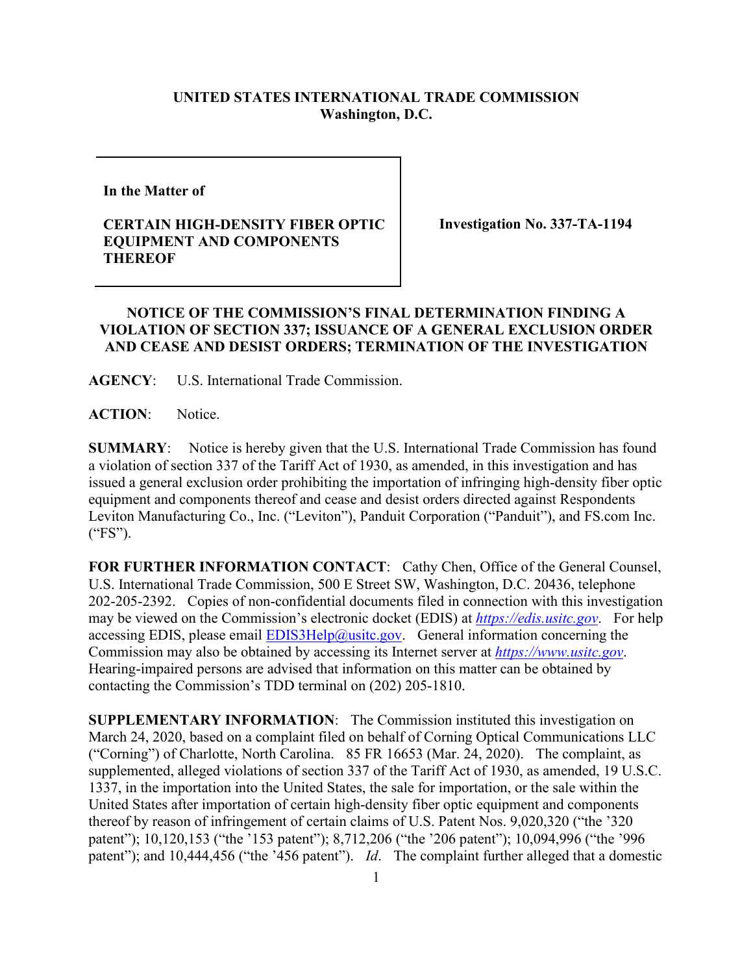## **UNITED STATES INTERNATIONAL TRADE COMMISSION Washington, D.C.**

**In the Matter of** 

## **CERTAIN HIGH-DENSITY FIBER OPTIC EQUIPMENT AND COMPONENTS THEREOF**

**Investigation No. 337-TA-1194**

## **NOTICE OF THE COMMISSION'S FINAL DETERMINATION FINDING A VIOLATION OF SECTION 337; ISSUANCE OF A GENERAL EXCLUSION ORDER AND CEASE AND DESIST ORDERS; TERMINATION OF THE INVESTIGATION**

**AGENCY**: U.S. International Trade Commission.

**ACTION**: Notice.

**SUMMARY**: Notice is hereby given that the U.S. International Trade Commission has found a violation of section 337 of the Tariff Act of 1930, as amended, in this investigation and has issued a general exclusion order prohibiting the importation of infringing high-density fiber optic equipment and components thereof and cease and desist orders directed against Respondents Leviton Manufacturing Co., Inc. ("Leviton"), Panduit Corporation ("Panduit"), and FS.com Inc. ("FS").

**FOR FURTHER INFORMATION CONTACT**: Cathy Chen, Office of the General Counsel, U.S. International Trade Commission, 500 E Street SW, Washington, D.C. 20436, telephone 202-205-2392. Copies of non-confidential documents filed in connection with this investigation may be viewed on the Commission's electronic docket (EDIS) at *[https://edis.usitc.gov](https://edis.usitc.gov/)*. For help accessing EDIS, please email  $EDIS3Help@ustc.gov$ . General information concerning the Commission may also be obtained by accessing its Internet server at *[https://www.usitc.gov](https://www.usitc.gov/)*. Hearing-impaired persons are advised that information on this matter can be obtained by contacting the Commission's TDD terminal on (202) 205-1810.

**SUPPLEMENTARY INFORMATION**: The Commission instituted this investigation on March 24, 2020, based on a complaint filed on behalf of Corning Optical Communications LLC ("Corning") of Charlotte, North Carolina. 85 FR 16653 (Mar. 24, 2020). The complaint, as supplemented, alleged violations of section 337 of the Tariff Act of 1930, as amended, 19 U.S.C. 1337, in the importation into the United States, the sale for importation, or the sale within the United States after importation of certain high-density fiber optic equipment and components thereof by reason of infringement of certain claims of U.S. Patent Nos. 9,020,320 ("the '320 patent"); 10,120,153 ("the '153 patent"); 8,712,206 ("the '206 patent"); 10,094,996 ("the '996 patent"); and 10,444,456 ("the '456 patent"). *Id*. The complaint further alleged that a domestic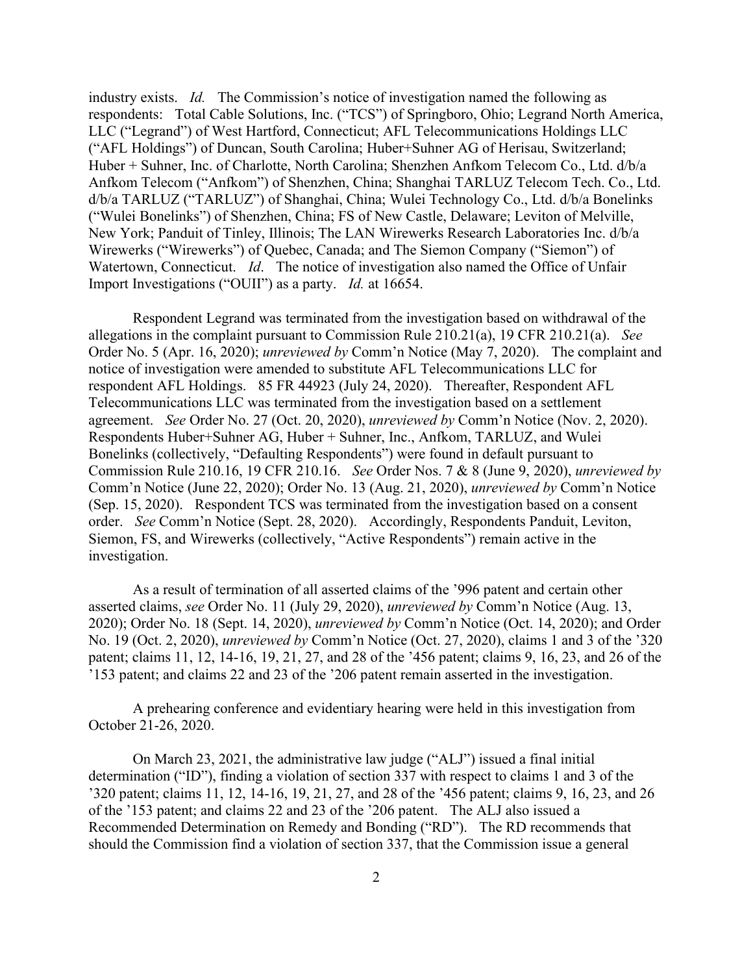industry exists. *Id.* The Commission's notice of investigation named the following as respondents: Total Cable Solutions, Inc. ("TCS") of Springboro, Ohio; Legrand North America, LLC ("Legrand") of West Hartford, Connecticut; AFL Telecommunications Holdings LLC ("AFL Holdings") of Duncan, South Carolina; Huber+Suhner AG of Herisau, Switzerland; Huber + Suhner, Inc. of Charlotte, North Carolina; Shenzhen Anfkom Telecom Co., Ltd. d/b/a Anfkom Telecom ("Anfkom") of Shenzhen, China; Shanghai TARLUZ Telecom Tech. Co., Ltd. d/b/a TARLUZ ("TARLUZ") of Shanghai, China; Wulei Technology Co., Ltd. d/b/a Bonelinks ("Wulei Bonelinks") of Shenzhen, China; FS of New Castle, Delaware; Leviton of Melville, New York; Panduit of Tinley, Illinois; The LAN Wirewerks Research Laboratories Inc. d/b/a Wirewerks ("Wirewerks") of Quebec, Canada; and The Siemon Company ("Siemon") of Watertown, Connecticut. *Id.* The notice of investigation also named the Office of Unfair Import Investigations ("OUII") as a party. *Id.* at 16654.

Respondent Legrand was terminated from the investigation based on withdrawal of the allegations in the complaint pursuant to Commission Rule 210.21(a), 19 CFR 210.21(a). *See*  Order No. 5 (Apr. 16, 2020); *unreviewed by* Comm'n Notice (May 7, 2020). The complaint and notice of investigation were amended to substitute AFL Telecommunications LLC for respondent AFL Holdings. 85 FR 44923 (July 24, 2020). Thereafter, Respondent AFL Telecommunications LLC was terminated from the investigation based on a settlement agreement. *See* Order No. 27 (Oct. 20, 2020), *unreviewed by* Comm'n Notice (Nov. 2, 2020). Respondents Huber+Suhner AG, Huber + Suhner, Inc., Anfkom, TARLUZ, and Wulei Bonelinks (collectively, "Defaulting Respondents") were found in default pursuant to Commission Rule 210.16, 19 CFR 210.16. *See* Order Nos. 7 & 8 (June 9, 2020), *unreviewed by*  Comm'n Notice (June 22, 2020); Order No. 13 (Aug. 21, 2020), *unreviewed by* Comm'n Notice (Sep. 15, 2020). Respondent TCS was terminated from the investigation based on a consent order. *See* Comm'n Notice (Sept. 28, 2020). Accordingly, Respondents Panduit, Leviton, Siemon, FS, and Wirewerks (collectively, "Active Respondents") remain active in the investigation.

As a result of termination of all asserted claims of the '996 patent and certain other asserted claims, *see* Order No. 11 (July 29, 2020), *unreviewed by* Comm'n Notice (Aug. 13, 2020); Order No. 18 (Sept. 14, 2020), *unreviewed by* Comm'n Notice (Oct. 14, 2020); and Order No. 19 (Oct. 2, 2020), *unreviewed by* Comm'n Notice (Oct. 27, 2020), claims 1 and 3 of the '320 patent; claims 11, 12, 14-16, 19, 21, 27, and 28 of the '456 patent; claims 9, 16, 23, and 26 of the '153 patent; and claims 22 and 23 of the '206 patent remain asserted in the investigation.

A prehearing conference and evidentiary hearing were held in this investigation from October 21-26, 2020.

On March 23, 2021, the administrative law judge ("ALJ") issued a final initial determination ("ID"), finding a violation of section 337 with respect to claims 1 and 3 of the '320 patent; claims 11, 12, 14-16, 19, 21, 27, and 28 of the '456 patent; claims 9, 16, 23, and 26 of the '153 patent; and claims 22 and 23 of the '206 patent. The ALJ also issued a Recommended Determination on Remedy and Bonding ("RD"). The RD recommends that should the Commission find a violation of section 337, that the Commission issue a general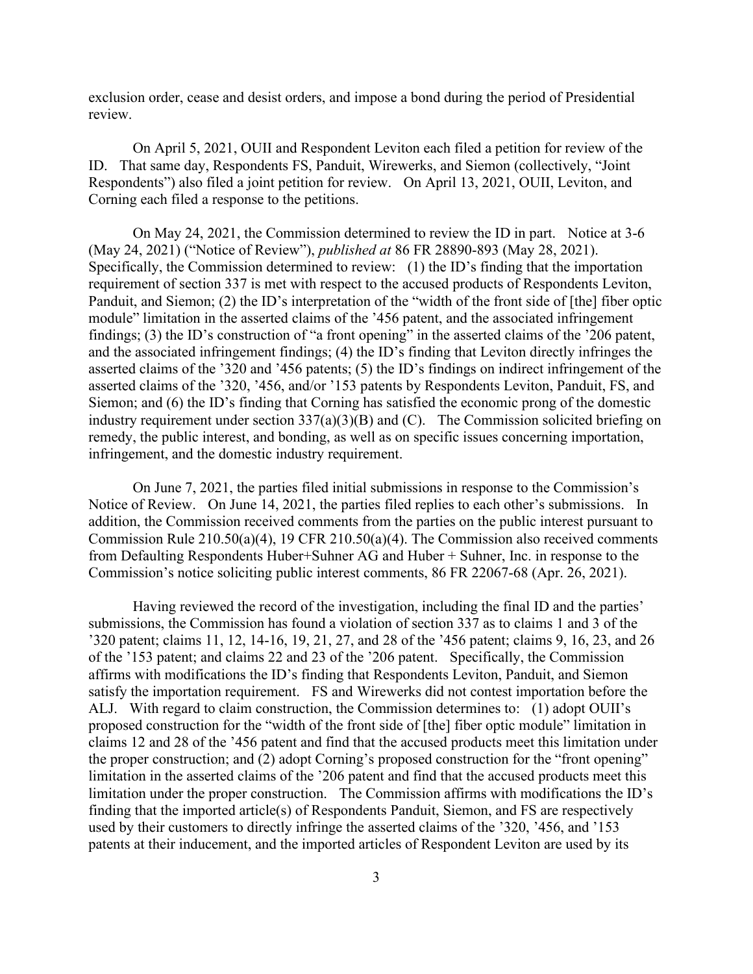exclusion order, cease and desist orders, and impose a bond during the period of Presidential review.

On April 5, 2021, OUII and Respondent Leviton each filed a petition for review of the ID. That same day, Respondents FS, Panduit, Wirewerks, and Siemon (collectively, "Joint Respondents") also filed a joint petition for review. On April 13, 2021, OUII, Leviton, and Corning each filed a response to the petitions.

On May 24, 2021, the Commission determined to review the ID in part. Notice at 3-6 (May 24, 2021) ("Notice of Review"), *published at* 86 FR 28890-893 (May 28, 2021). Specifically, the Commission determined to review: (1) the ID's finding that the importation requirement of section 337 is met with respect to the accused products of Respondents Leviton, Panduit, and Siemon; (2) the ID's interpretation of the "width of the front side of [the] fiber optic module" limitation in the asserted claims of the '456 patent, and the associated infringement findings; (3) the ID's construction of "a front opening" in the asserted claims of the '206 patent, and the associated infringement findings; (4) the ID's finding that Leviton directly infringes the asserted claims of the '320 and '456 patents; (5) the ID's findings on indirect infringement of the asserted claims of the '320, '456, and/or '153 patents by Respondents Leviton, Panduit, FS, and Siemon; and (6) the ID's finding that Corning has satisfied the economic prong of the domestic industry requirement under section 337(a)(3)(B) and (C). The Commission solicited briefing on remedy, the public interest, and bonding, as well as on specific issues concerning importation, infringement, and the domestic industry requirement.

On June 7, 2021, the parties filed initial submissions in response to the Commission's Notice of Review. On June 14, 2021, the parties filed replies to each other's submissions. In addition, the Commission received comments from the parties on the public interest pursuant to Commission Rule 210.50(a)(4), 19 CFR 210.50(a)(4). The Commission also received comments from Defaulting Respondents Huber+Suhner AG and Huber + Suhner, Inc. in response to the Commission's notice soliciting public interest comments, 86 FR 22067-68 (Apr. 26, 2021).

Having reviewed the record of the investigation, including the final ID and the parties' submissions, the Commission has found a violation of section 337 as to claims 1 and 3 of the '320 patent; claims 11, 12, 14-16, 19, 21, 27, and 28 of the '456 patent; claims 9, 16, 23, and 26 of the '153 patent; and claims 22 and 23 of the '206 patent. Specifically, the Commission affirms with modifications the ID's finding that Respondents Leviton, Panduit, and Siemon satisfy the importation requirement. FS and Wirewerks did not contest importation before the ALJ. With regard to claim construction, the Commission determines to: (1) adopt OUII's proposed construction for the "width of the front side of [the] fiber optic module" limitation in claims 12 and 28 of the '456 patent and find that the accused products meet this limitation under the proper construction; and (2) adopt Corning's proposed construction for the "front opening" limitation in the asserted claims of the '206 patent and find that the accused products meet this limitation under the proper construction. The Commission affirms with modifications the ID's finding that the imported article(s) of Respondents Panduit, Siemon, and FS are respectively used by their customers to directly infringe the asserted claims of the '320, '456, and '153 patents at their inducement, and the imported articles of Respondent Leviton are used by its